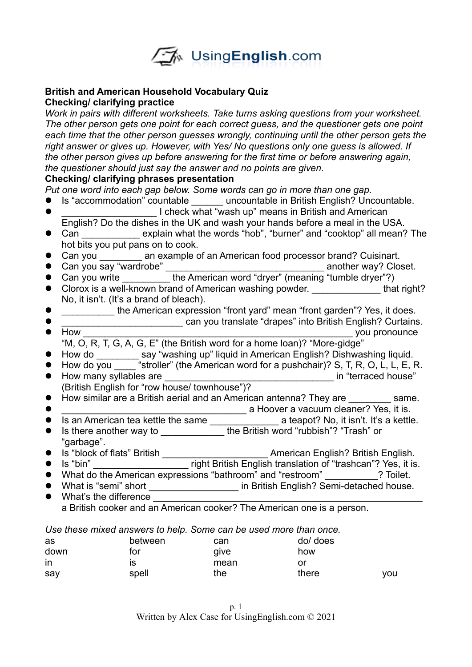

### **British and American Household Vocabulary Quiz Checking/ clarifying practice**

*Work in pairs with different worksheets. Take turns asking questions from your worksheet. The other person gets one point for each correct guess, and the questioner gets one point each time that the other person guesses wrongly, continuing until the other person gets the right answer or gives up. However, with Yes/ No questions only one guess is allowed. If the other person gives up before answering for the first time or before answering again, the questioner should just say the answer and no points are given.* 

### **Checking/ clarifying phrases presentation**

*Put one word into each gap below. Some words can go in more than one gap.* 

- Is "accommodation" countable \_\_\_\_\_\_ uncountable in British English? Uncountable.
- $\bullet$  **The Compart is a Luis Compart of Compart is a Luis Compart in British and American**
- English? Do the dishes in the UK and wash your hands before a meal in the USA. • Can explain what the words "hob", "burner" and "cooktop" all mean? The hot bits you put pans on to cook.
- Can you \_\_\_\_\_\_\_\_ an example of an American food processor brand? Cuisinart.
- Can you say "wardrobe" \_\_\_\_\_\_\_\_\_\_\_\_\_\_\_\_\_\_\_\_\_\_\_\_\_\_\_\_\_\_ another way? Closet.
- Can you write \_\_\_\_\_\_\_\_\_ the American word "dryer" (meaning "tumble dryer"?)
- Clorox is a well-known brand of American washing powder. The state of that right? No, it isn't. (It's a brand of bleach).
- \_\_\_\_\_\_\_\_\_\_ the American expression "front yard" mean "front garden"? Yes, it does.
- \_\_\_\_\_\_\_\_\_\_\_\_\_\_\_\_\_\_\_\_\_\_\_ can you translate "drapes" into British English? Curtains.
- How \_\_\_\_\_\_\_\_\_\_\_\_\_\_\_\_\_\_\_\_\_\_\_\_\_\_\_\_\_\_\_\_\_\_\_\_\_\_\_\_\_\_\_\_\_\_\_\_\_\_\_ you pronounce "M, O, R, T, G, A, G, E" (the British word for a home loan)? "More-gidge"
- 
- How do \_\_\_\_\_\_\_\_\_ say "washing up" liquid in American English? Dishwashing liquid.
- How do you \_\_\_\_\_ "stroller" (the American word for a pushchair)? S, T, R, O, L, L, E, R. How many syllables are \_\_\_\_\_\_\_\_\_\_\_\_\_\_\_\_\_\_\_\_\_\_\_\_\_\_\_\_\_\_\_\_ in "terraced house" (British English for "row house/ townhouse")?
- How similar are a British aerial and an American antenna? They are \_\_\_\_\_\_\_\_ same.
- \_\_\_\_\_\_\_\_\_\_\_\_\_\_\_\_\_\_\_\_\_\_\_\_\_\_\_\_\_\_\_\_\_\_\_ a Hoover a vacuum cleaner? Yes, it is.
- Is an American tea kettle the same \_\_\_\_\_\_\_\_\_\_\_\_\_ a teapot? No, it isn't. It's a kettle.
- Is there another way to \_\_\_\_\_\_\_\_\_\_\_\_\_\_\_the British word "rubbish"? "Trash" or "garbage".
- Is "block of flats" British \_\_\_\_\_\_\_\_\_\_\_\_\_\_\_\_\_\_\_\_ American English? British English.
- Is "bin" \_\_\_\_\_\_\_\_\_\_\_\_\_\_\_\_\_\_ right British English translation of "trashcan"? Yes, it is.
- What do the American expressions "bathroom" and "restroom" **2** Toilet.
- What is "semi" short \_\_\_\_\_\_\_\_\_\_\_\_\_\_\_\_\_\_\_\_\_ in British English? Semi-detached house.
- $\bullet$  What's the difference a British cooker and an American cooker? The American one is a person.

*Use these mixed answers to help. Some can be used more than once.* 

| as   | between | can  | do/ does |     |
|------|---------|------|----------|-----|
| down | tor     | give | how      |     |
| in   | IS      | mean | or       |     |
| say  | spell   | the  | there    | vou |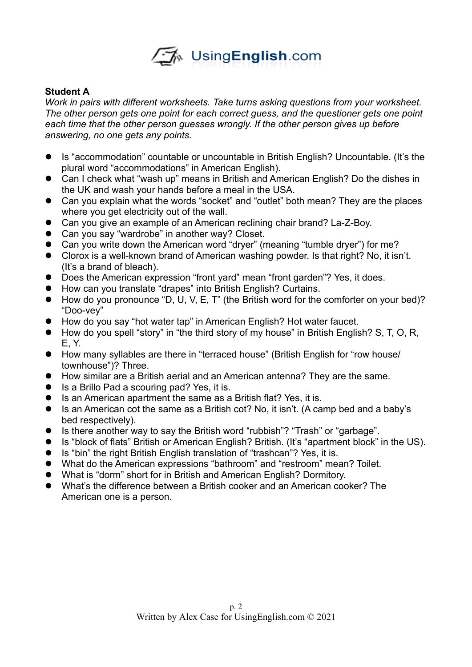

## **Student A**

*Work in pairs with different worksheets. Take turns asking questions from your worksheet. The other person gets one point for each correct guess, and the questioner gets one point*  each time that the other person quesses wrongly. If the other person gives up before *answering, no one gets any points.* 

- Is "accommodation" countable or uncountable in British English? Uncountable. (It's the plural word "accommodations" in American English).
- Can I check what "wash up" means in British and American English? Do the dishes in the UK and wash your hands before a meal in the USA.
- Can you explain what the words "socket" and "outlet" both mean? They are the places where you get electricity out of the wall.
- Can you give an example of an American reclining chair brand? La-Z-Boy.
- Can you say "wardrobe" in another way? Closet.
- Can you write down the American word "dryer" (meaning "tumble dryer") for me?
- Clorox is a well-known brand of American washing powder. Is that right? No, it isn't. (It's a brand of bleach).
- Does the American expression "front yard" mean "front garden"? Yes, it does.
- How can you translate "drapes" into British English? Curtains.
- How do you pronounce "D, U, V, E, T" (the British word for the comforter on your bed)? "Doo-vey"
- How do you say "hot water tap" in American English? Hot water faucet.
- How do you spell "story" in "the third story of my house" in British English? S, T, O, R, E, Y.
- How many syllables are there in "terraced house" (British English for "row house/ townhouse")? Three.
- How similar are a British aerial and an American antenna? They are the same.
- Is a Brillo Pad a scouring pad? Yes, it is.
- Is an American apartment the same as a British flat? Yes, it is.
- Is an American cot the same as a British cot? No, it isn't. (A camp bed and a baby's bed respectively).
- Is there another way to say the British word "rubbish"? "Trash" or "garbage".
- Is "block of flats" British or American English? British. (It's "apartment block" in the US).
- Is "bin" the right British English translation of "trashcan"? Yes, it is.
- What do the American expressions "bathroom" and "restroom" mean? Toilet.
- What is "dorm" short for in British and American English? Dormitory.
- What's the difference between a British cooker and an American cooker? The American one is a person.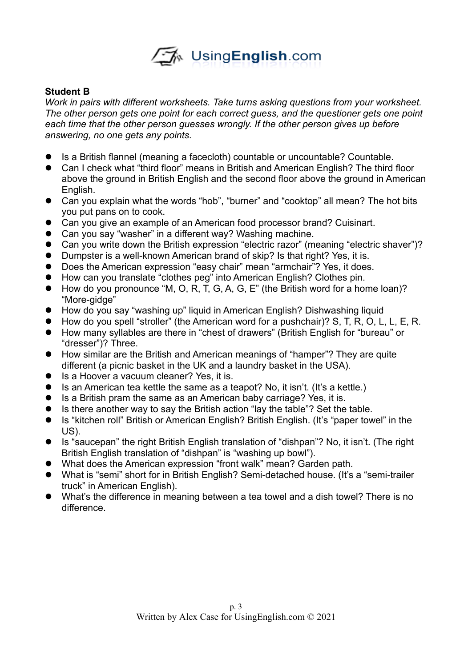

## **Student B**

*Work in pairs with different worksheets. Take turns asking questions from your worksheet. The other person gets one point for each correct guess, and the questioner gets one point each time that the other person guesses wrongly. If the other person gives up before answering, no one gets any points.* 

- Is a British flannel (meaning a facecloth) countable or uncountable? Countable.
- Can I check what "third floor" means in British and American English? The third floor above the ground in British English and the second floor above the ground in American English.
- Can you explain what the words "hob", "burner" and "cooktop" all mean? The hot bits you put pans on to cook.
- Can you give an example of an American food processor brand? Cuisinart.
- Can you say "washer" in a different way? Washing machine.
- Can you write down the British expression "electric razor" (meaning "electric shaver")?
- Dumpster is a well-known American brand of skip? Is that right? Yes, it is.
- Does the American expression "easy chair" mean "armchair"? Yes, it does.
- How can you translate "clothes peg" into American English? Clothes pin.
- How do you pronounce "M, O, R, T, G, A, G, E" (the British word for a home loan)? "More-gidge"
- How do you say "washing up" liquid in American English? Dishwashing liquid
- How do you spell "stroller" (the American word for a pushchair)? S, T, R, O, L, L, E, R.
- How many syllables are there in "chest of drawers" (British English for "bureau" or "dresser")? Three.
- How similar are the British and American meanings of "hamper"? They are quite different (a picnic basket in the UK and a laundry basket in the USA).
- Is a Hoover a vacuum cleaner? Yes, it is.
- Is an American tea kettle the same as a teapot? No, it isn't. (It's a kettle.)
- Is a British pram the same as an American baby carriage? Yes, it is.
- Is there another way to say the British action "lay the table"? Set the table.
- Is "kitchen roll" British or American English? British English. (It's "paper towel" in the US).
- Is "saucepan" the right British English translation of "dishpan"? No, it isn't. (The right British English translation of "dishpan" is "washing up bowl").
- What does the American expression "front walk" mean? Garden path.
- What is "semi" short for in British English? Semi-detached house. (It's a "semi-trailer truck" in American English).
- What's the difference in meaning between a tea towel and a dish towel? There is no difference.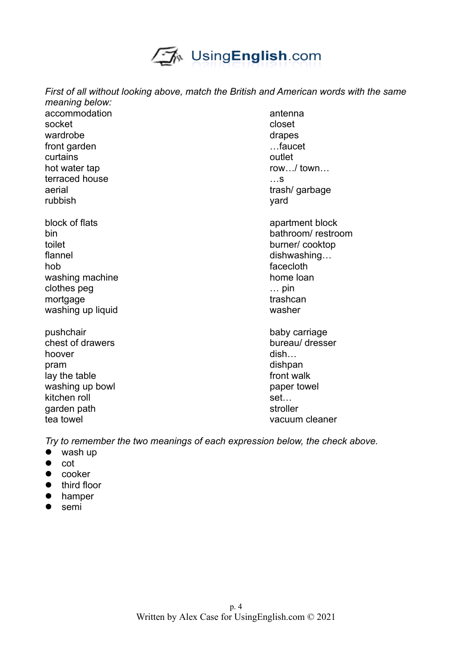

*First of all without looking above, match the British and American words with the same meaning below:*  accommodation antenna

socket closet and closet closet wardrobe drapes and the drapes of the drapes drapes of the drapes of the drapes of the drapes of the drapes of the drapes of the drapes of the drapes of the drapes of the drapes of the drapes of the drapes of the drapes of front garden **EXECUTE:** 1.1 The set of the set of the set of the set of the set of the set of the set of the set of the set of the set of the set of the set of the set of the set of the set of the set of the set of the set curtains outlet hot water tap row.../ town... terraced house **Executive** in the set of the set of the set of the set of the set of the set of the set of the set of the set of the set of the set of the set of the set of the set of the set of the set of the set of the s aerial trash/ garbage contrast of the set of the set of trash/ garbage contrast of the set of the set of the set of the set of the set of the set of the set of the set of the set of the set of the set of the set of the set rubbish yard

- block of flats block of flats apartment block toilet burner/ cooktop flannel dishwashing… hob facecloth washing machine home loan clothes peg … pin mortgage trashcan trashcan washing up liquid washer
- pushchair baby carriage baby carriage chest of drawers bureau/ dresser hoover dish… pram dishpan lay the table front walk washing up bowl paper towel kitchen roll set... garden path stroller tea towel vacuum cleaner

bin bathroom/ restroom

*Try to remember the two meanings of each expression below, the check above.*

- wash up
- $\bullet$  cot
- $\bullet$  cooker
- $\bullet$  third floor
- **•** hamper
- $\bullet$  semi